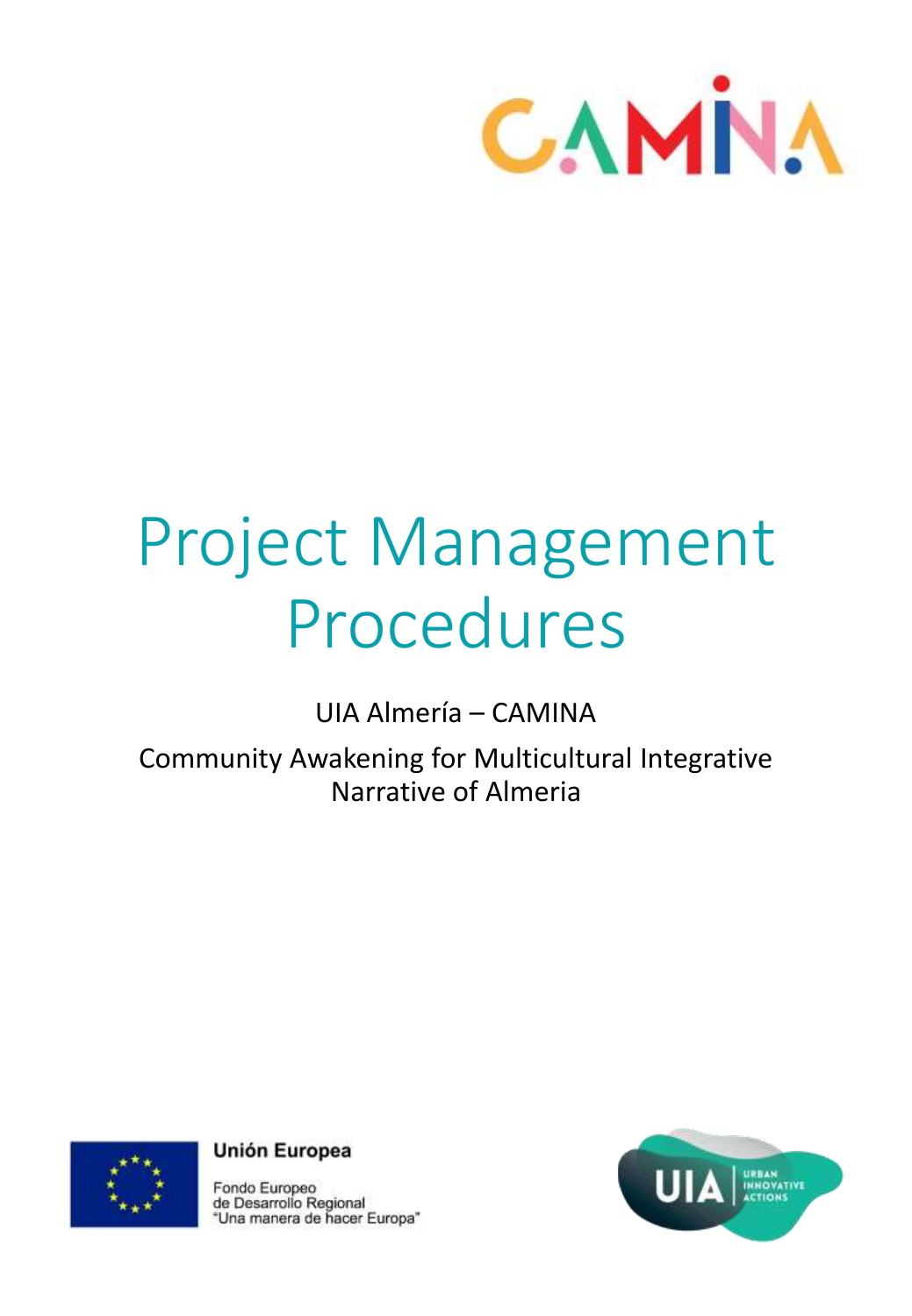

# Project Management Procedures

UIA Almería – CAMINA

Community Awakening for Multicultural Integrative Narrative of Almeria



**Unión Europea** 

Fondo Europeo de Desarrollo Regional<br>"Una manera de hacer Europa"

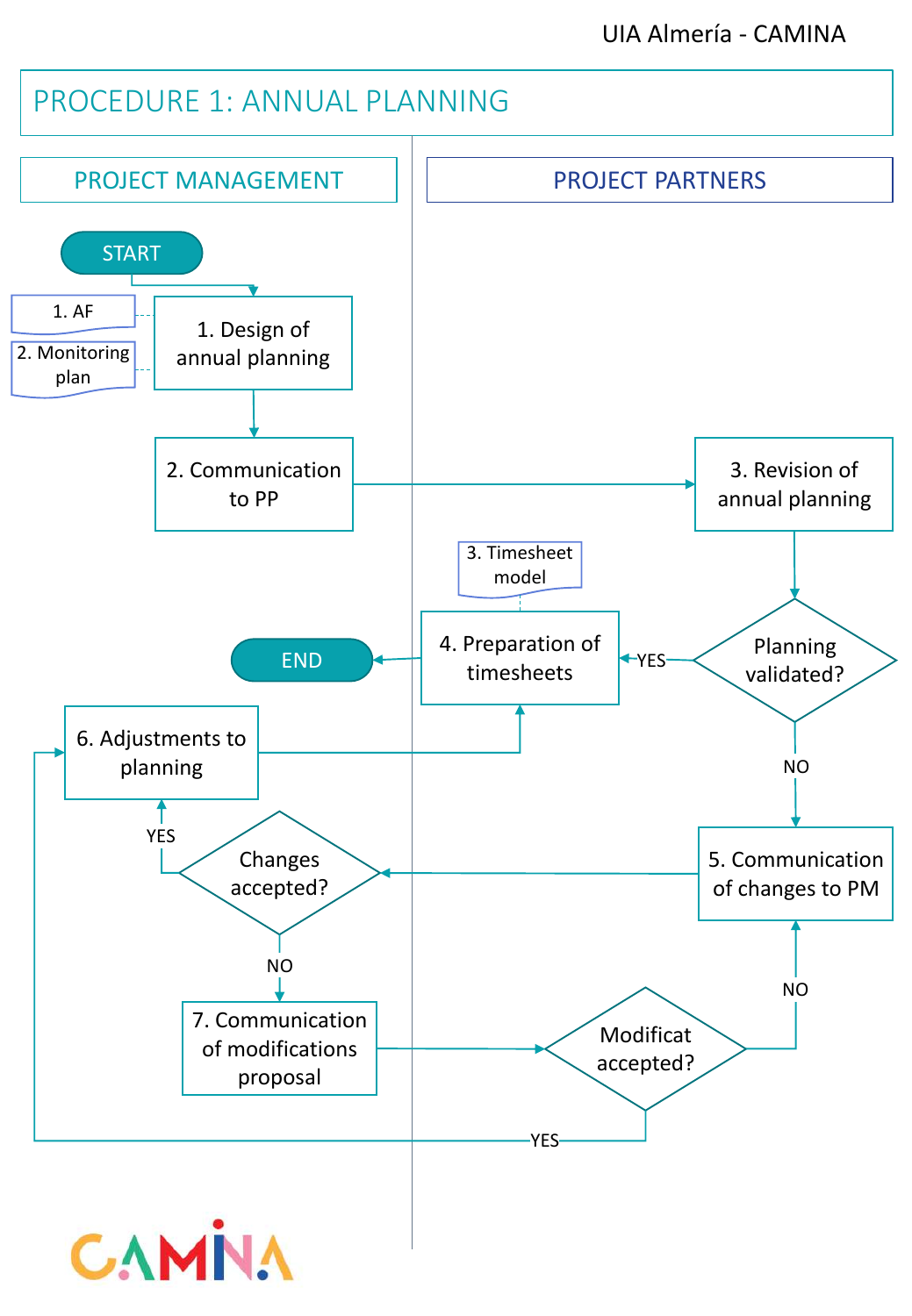# PROCEDURE 1: ANNUAL PLANNING

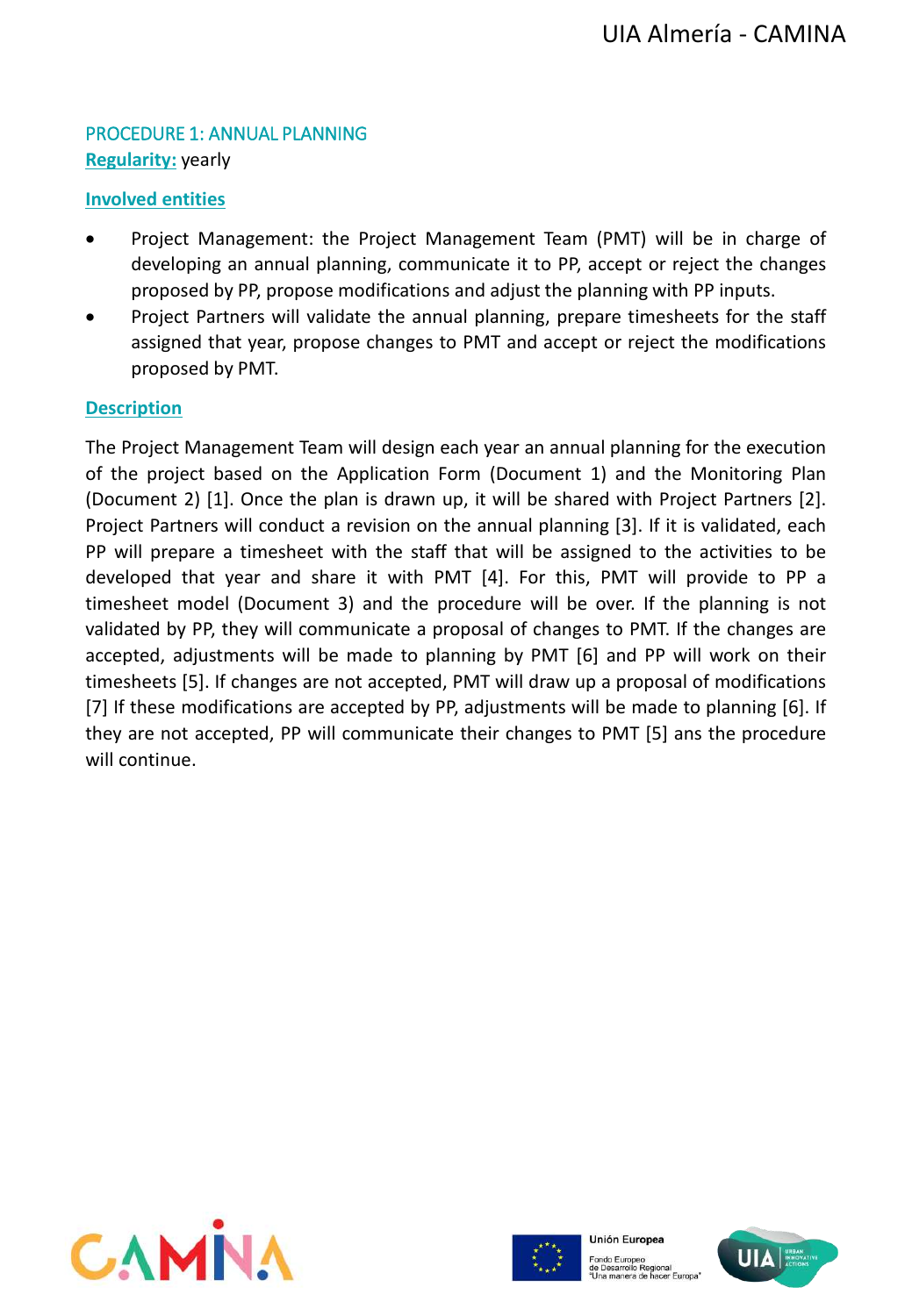## PROCEDURE 1: ANNUAL PLANNING **Regularity:** yearly

#### **Involved entities**

- Project Management: the Project Management Team (PMT) will be in charge of developing an annual planning, communicate it to PP, accept or reject the changes proposed by PP, propose modifications and adjust the planning with PP inputs.
- Project Partners will validate the annual planning, prepare timesheets for the staff assigned that year, propose changes to PMT and accept or reject the modifications proposed by PMT.

#### **Description**

The Project Management Team will design each year an annual planning for the execution of the project based on the Application Form (Document 1) and the Monitoring Plan (Document 2) [1]. Once the plan is drawn up, it will be shared with Project Partners [2]. Project Partners will conduct a revision on the annual planning [3]. If it is validated, each PP will prepare a timesheet with the staff that will be assigned to the activities to be developed that year and share it with PMT [4]. For this, PMT will provide to PP a timesheet model (Document 3) and the procedure will be over. If the planning is not validated by PP, they will communicate a proposal of changes to PMT. If the changes are accepted, adjustments will be made to planning by PMT [6] and PP will work on their timesheets [5]. If changes are not accepted, PMT will draw up a proposal of modifications [7] If these modifications are accepted by PP, adjustments will be made to planning [6]. If they are not accepted, PP will communicate their changes to PMT [5] ans the procedure will continue.





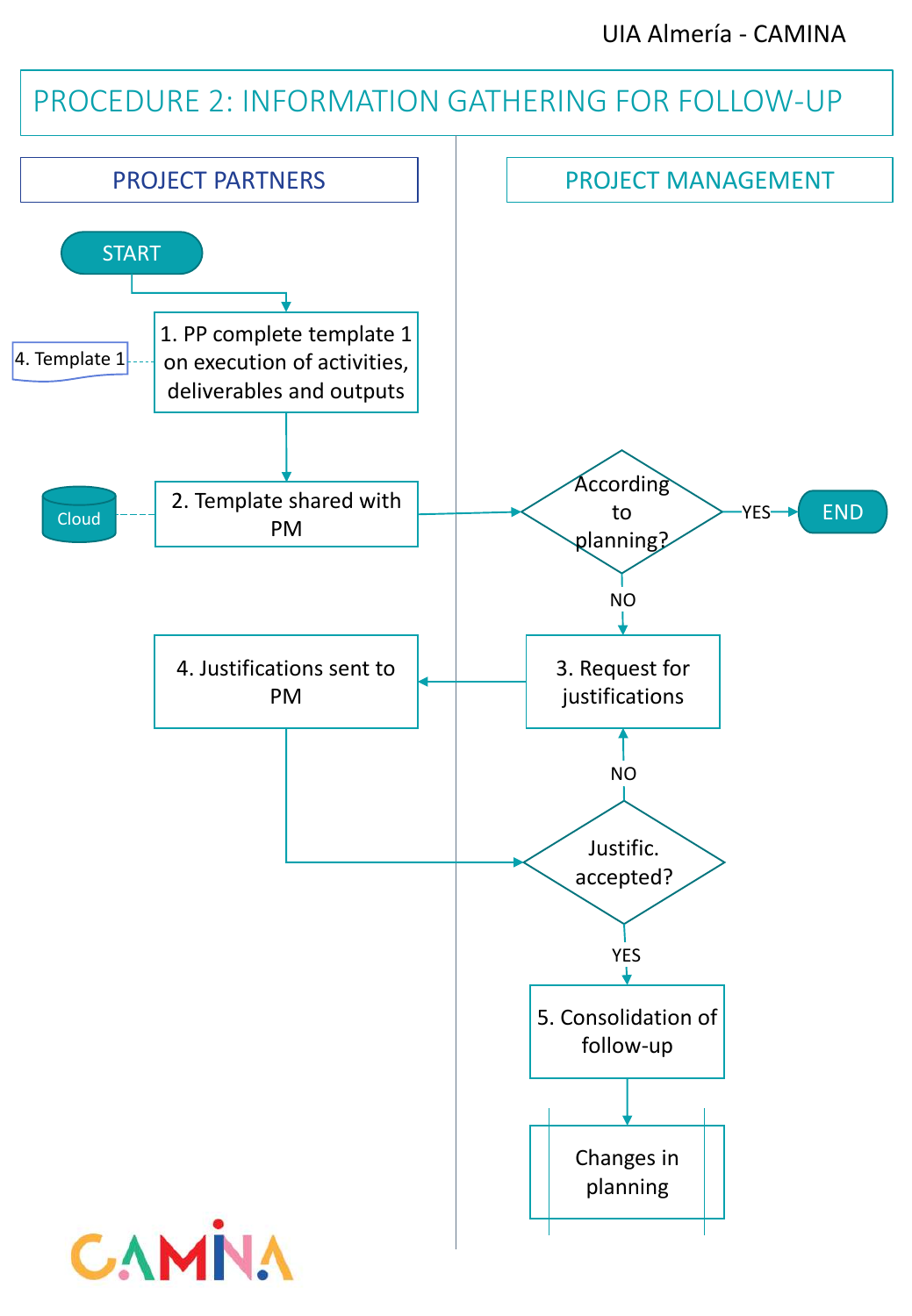UIA Almería - CAMINA

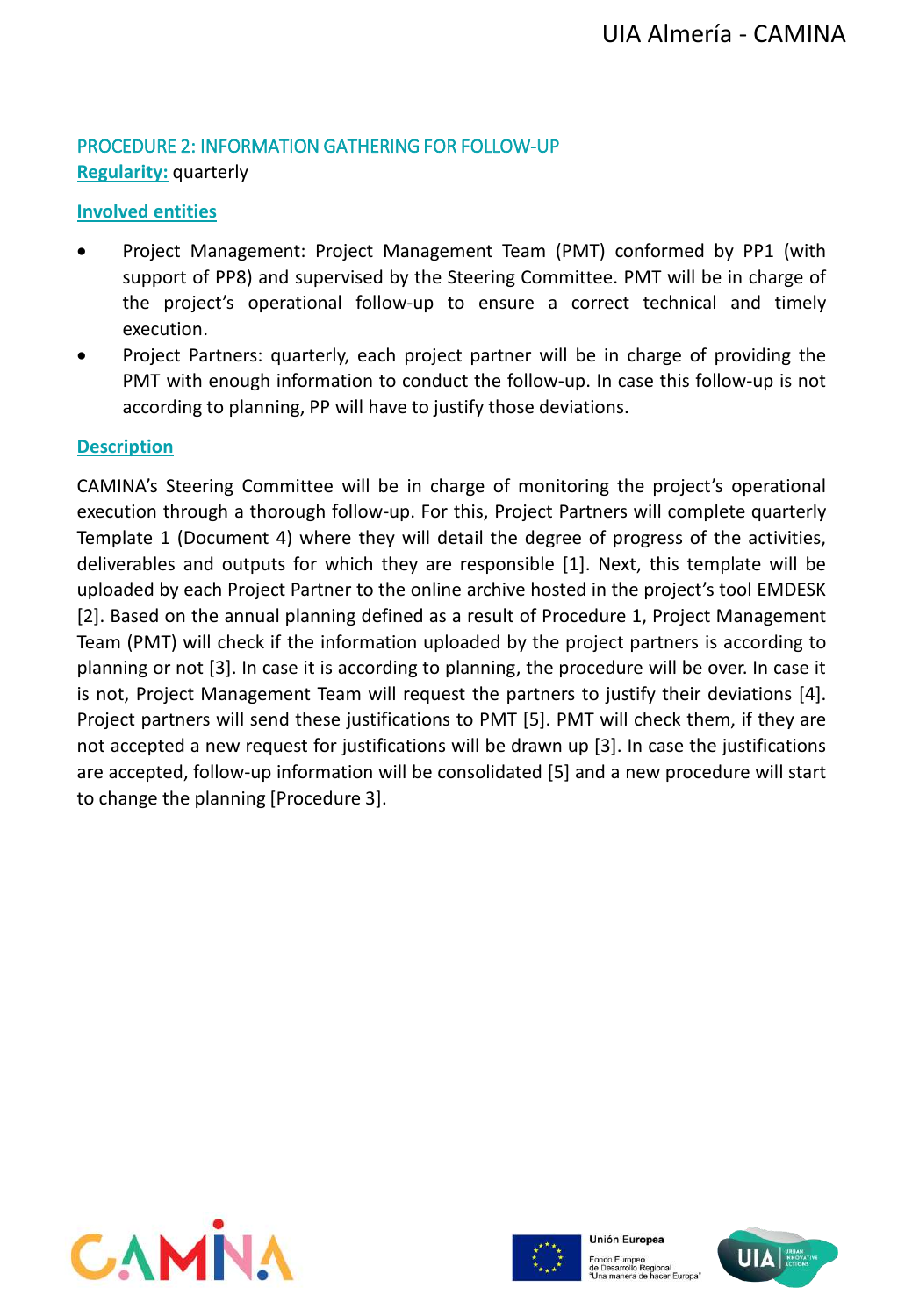#### PROCEDURE 2: INFORMATION GATHERING FOR FOLLOW-UP **Regularity:** quarterly

## **Involved entities**

- Project Management: Project Management Team (PMT) conformed by PP1 (with support of PP8) and supervised by the Steering Committee. PMT will be in charge of the project's operational follow-up to ensure a correct technical and timely execution.
- Project Partners: quarterly, each project partner will be in charge of providing the PMT with enough information to conduct the follow-up. In case this follow-up is not according to planning, PP will have to justify those deviations.

#### **Description**

CAMINA's Steering Committee will be in charge of monitoring the project's operational execution through a thorough follow-up. For this, Project Partners will complete quarterly Template 1 (Document 4) where they will detail the degree of progress of the activities, deliverables and outputs for which they are responsible [1]. Next, this template will be uploaded by each Project Partner to the online archive hosted in the project's tool EMDESK [2]. Based on the annual planning defined as a result of Procedure 1, Project Management Team (PMT) will check if the information uploaded by the project partners is according to planning or not [3]. In case it is according to planning, the procedure will be over. In case it is not, Project Management Team will request the partners to justify their deviations [4]. Project partners will send these justifications to PMT [5]. PMT will check them, if they are not accepted a new request for justifications will be drawn up [3]. In case the justifications are accepted, follow-up information will be consolidated [5] and a new procedure will start to change the planning [Procedure 3].





Fondo Europeo<br>de Desarrollo Regional<br>"Una manera de hacer Europa"

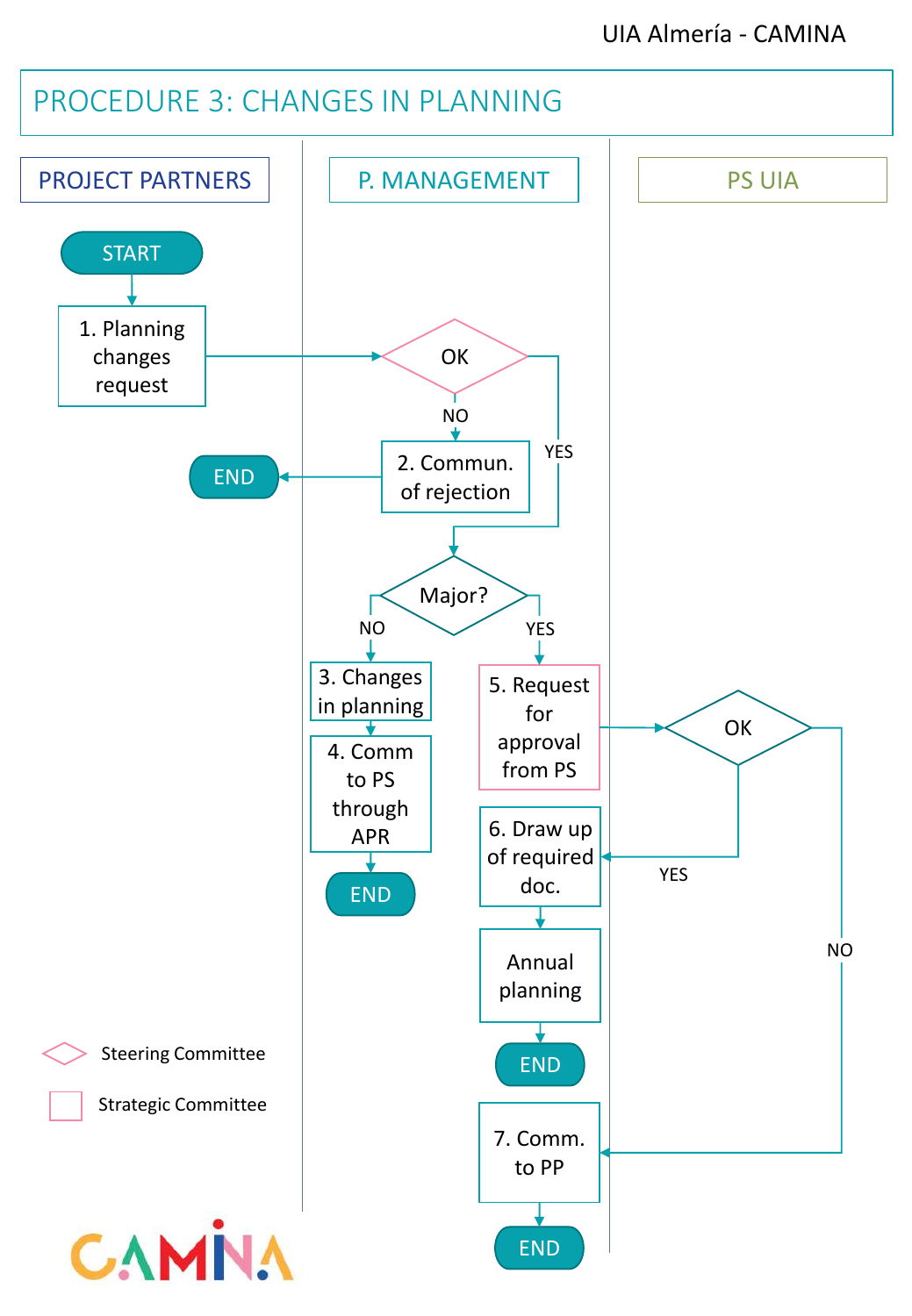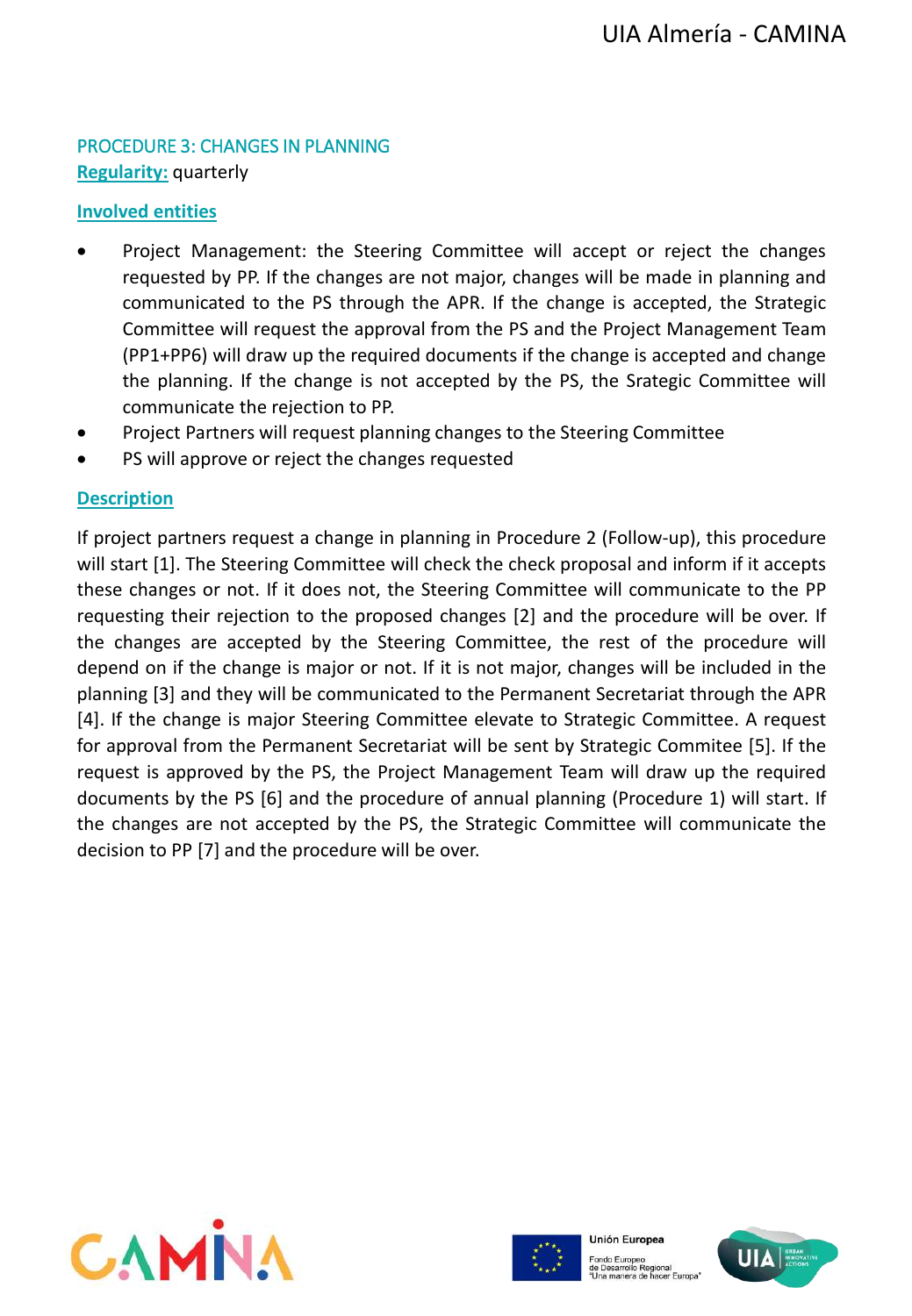## PROCEDURE 3: CHANGES IN PLANNING **Regularity:** quarterly

#### **Involved entities**

- Project Management: the Steering Committee will accept or reject the changes requested by PP. If the changes are not major, changes will be made in planning and communicated to the PS through the APR. If the change is accepted, the Strategic Committee will request the approval from the PS and the Project Management Team (PP1+PP6) will draw up the required documents if the change is accepted and change the planning. If the change is not accepted by the PS, the Srategic Committee will communicate the rejection to PP.
- Project Partners will request planning changes to the Steering Committee
- PS will approve or reject the changes requested

## **Description**

If project partners request a change in planning in Procedure 2 (Follow-up), this procedure will start [1]. The Steering Committee will check the check proposal and inform if it accepts these changes or not. If it does not, the Steering Committee will communicate to the PP requesting their rejection to the proposed changes [2] and the procedure will be over. If the changes are accepted by the Steering Committee, the rest of the procedure will depend on if the change is major or not. If it is not major, changes will be included in the planning [3] and they will be communicated to the Permanent Secretariat through the APR [4]. If the change is major Steering Committee elevate to Strategic Committee. A request for approval from the Permanent Secretariat will be sent by Strategic Commitee [5]. If the request is approved by the PS, the Project Management Team will draw up the required documents by the PS [6] and the procedure of annual planning (Procedure 1) will start. If the changes are not accepted by the PS, the Strategic Committee will communicate the decision to PP [7] and the procedure will be over.





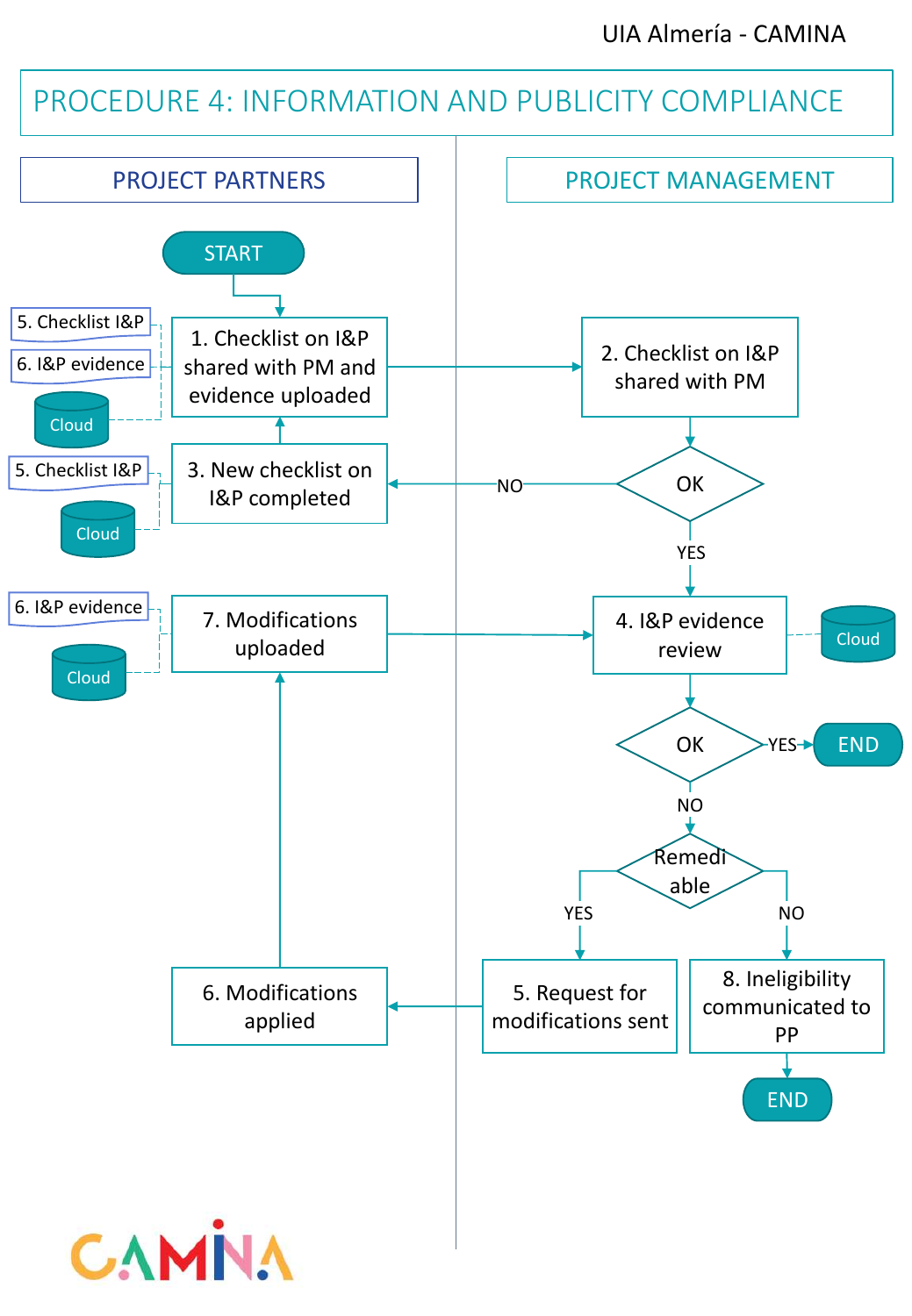# PROCEDURE 4: INFORMATION AND PUBLICITY COMPLIANCE

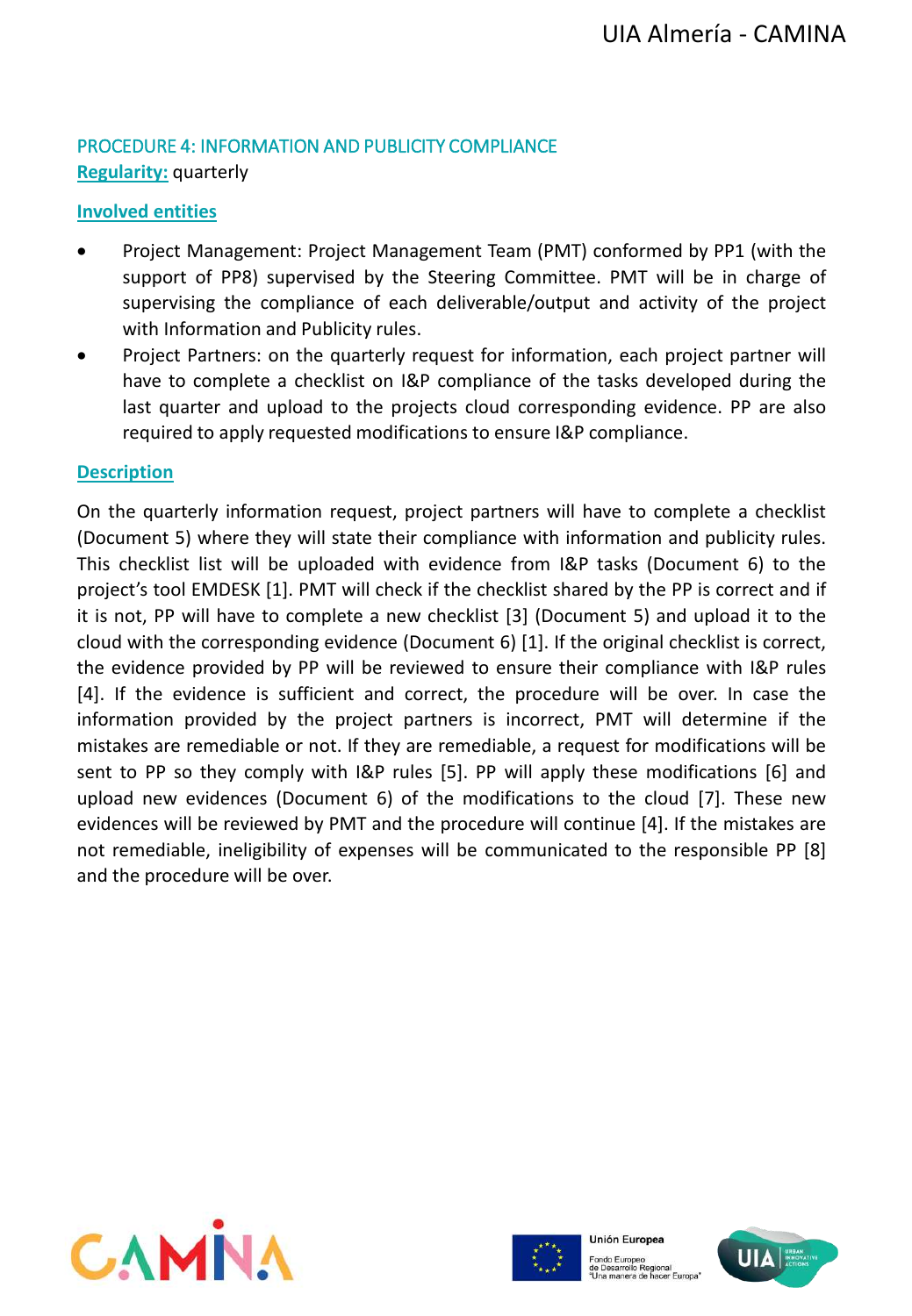#### PROCEDURE 4: INFORMATION AND PUBLICITY COMPLIANCE **Regularity:** quarterly

## **Involved entities**

- Project Management: Project Management Team (PMT) conformed by PP1 (with the support of PP8) supervised by the Steering Committee. PMT will be in charge of supervising the compliance of each deliverable/output and activity of the project with Information and Publicity rules.
- Project Partners: on the quarterly request for information, each project partner will have to complete a checklist on I&P compliance of the tasks developed during the last quarter and upload to the projects cloud corresponding evidence. PP are also required to apply requested modifications to ensure I&P compliance.

#### **Description**

On the quarterly information request, project partners will have to complete a checklist (Document 5) where they will state their compliance with information and publicity rules. This checklist list will be uploaded with evidence from I&P tasks (Document 6) to the project's tool EMDESK [1]. PMT will check if the checklist shared by the PP is correct and if it is not, PP will have to complete a new checklist [3] (Document 5) and upload it to the cloud with the corresponding evidence (Document 6) [1]. If the original checklist is correct, the evidence provided by PP will be reviewed to ensure their compliance with I&P rules [4]. If the evidence is sufficient and correct, the procedure will be over. In case the information provided by the project partners is incorrect, PMT will determine if the mistakes are remediable or not. If they are remediable, a request for modifications will be sent to PP so they comply with I&P rules [5]. PP will apply these modifications [6] and upload new evidences (Document 6) of the modifications to the cloud [7]. These new evidences will be reviewed by PMT and the procedure will continue [4]. If the mistakes are not remediable, ineligibility of expenses will be communicated to the responsible PP [8] and the procedure will be over.





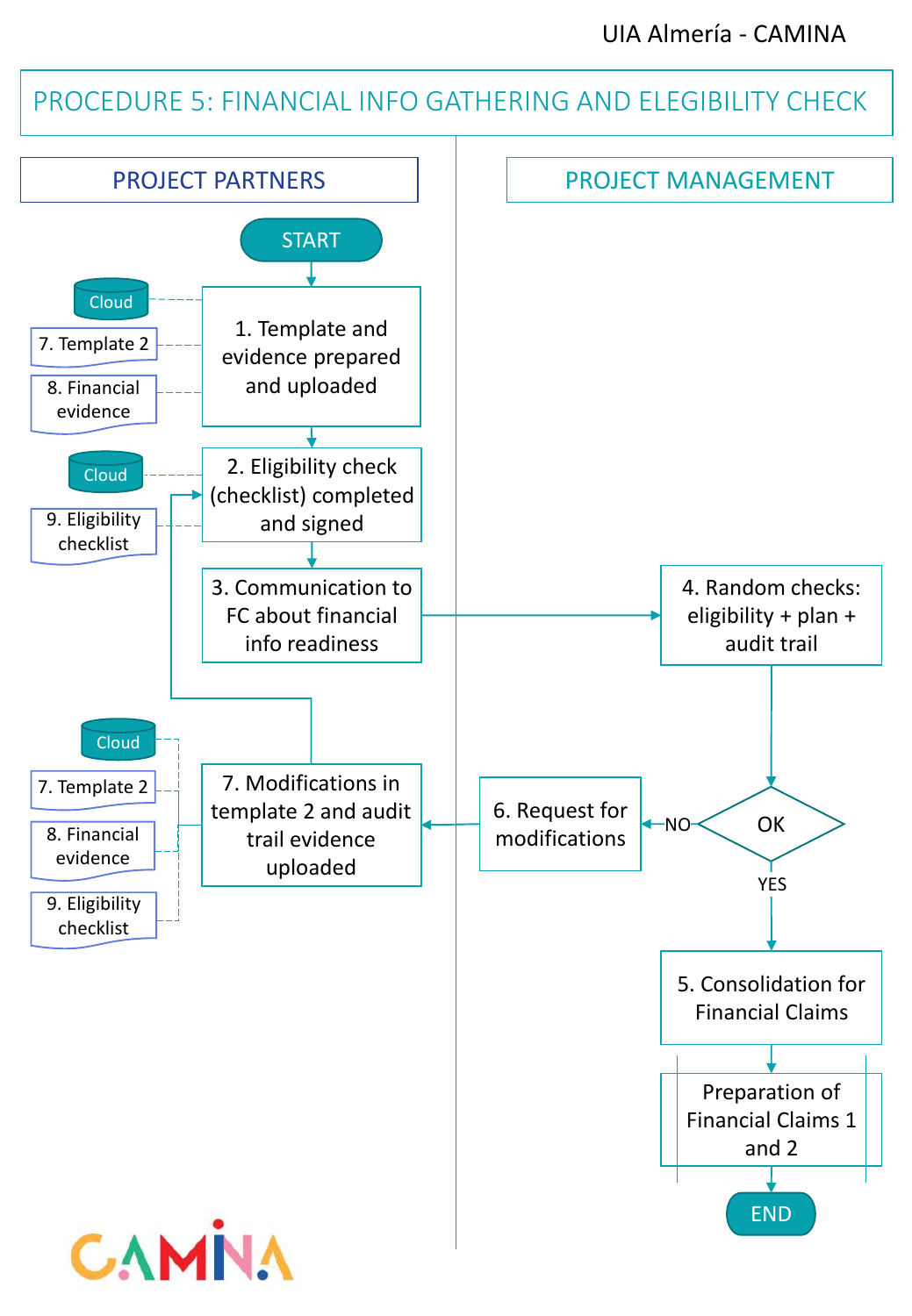# PROCEDURE 5: FINANCIAL INFO GATHERING AND ELEGIBILITY CHECK

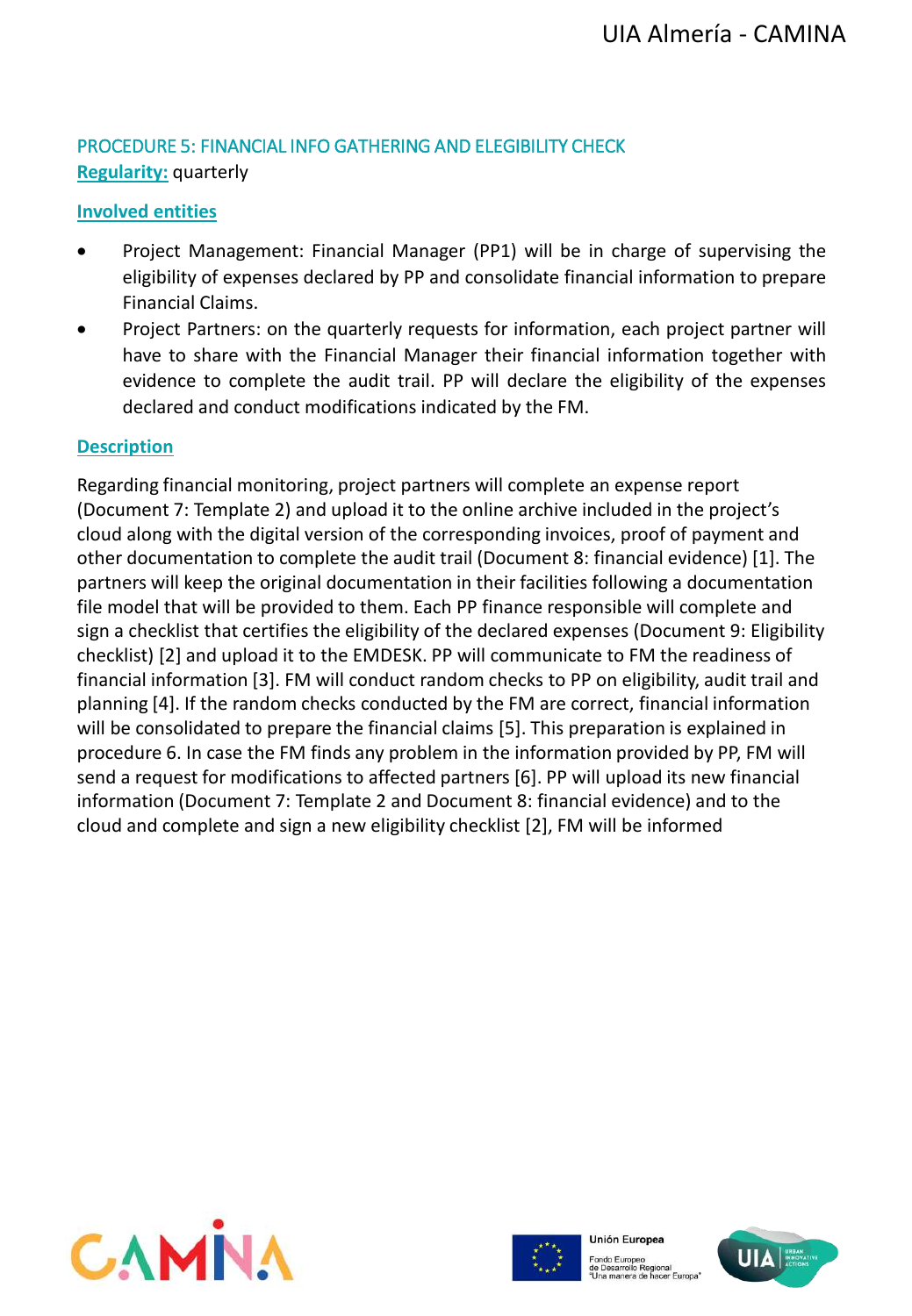# PROCEDURE 5: FINANCIAL INFO GATHERING AND ELEGIBILITY CHECK **Regularity:** quarterly

#### **Involved entities**

- Project Management: Financial Manager (PP1) will be in charge of supervising the eligibility of expenses declared by PP and consolidate financial information to prepare Financial Claims.
- Project Partners: on the quarterly requests for information, each project partner will have to share with the Financial Manager their financial information together with evidence to complete the audit trail. PP will declare the eligibility of the expenses declared and conduct modifications indicated by the FM.

#### **Description**

Regarding financial monitoring, project partners will complete an expense report (Document 7: Template 2) and upload it to the online archive included in the project's cloud along with the digital version of the corresponding invoices, proof of payment and other documentation to complete the audit trail (Document 8: financial evidence) [1]. The partners will keep the original documentation in their facilities following a documentation file model that will be provided to them. Each PP finance responsible will complete and sign a checklist that certifies the eligibility of the declared expenses (Document 9: Eligibility checklist) [2] and upload it to the EMDESK. PP will communicate to FM the readiness of financial information [3]. FM will conduct random checks to PP on eligibility, audit trail and planning [4]. If the random checks conducted by the FM are correct, financial information will be consolidated to prepare the financial claims [5]. This preparation is explained in procedure 6. In case the FM finds any problem in the information provided by PP, FM will send a request for modifications to affected partners [6]. PP will upload its new financial information (Document 7: Template 2 and Document 8: financial evidence) and to the cloud and complete and sign a new eligibility checklist [2], FM will be informed





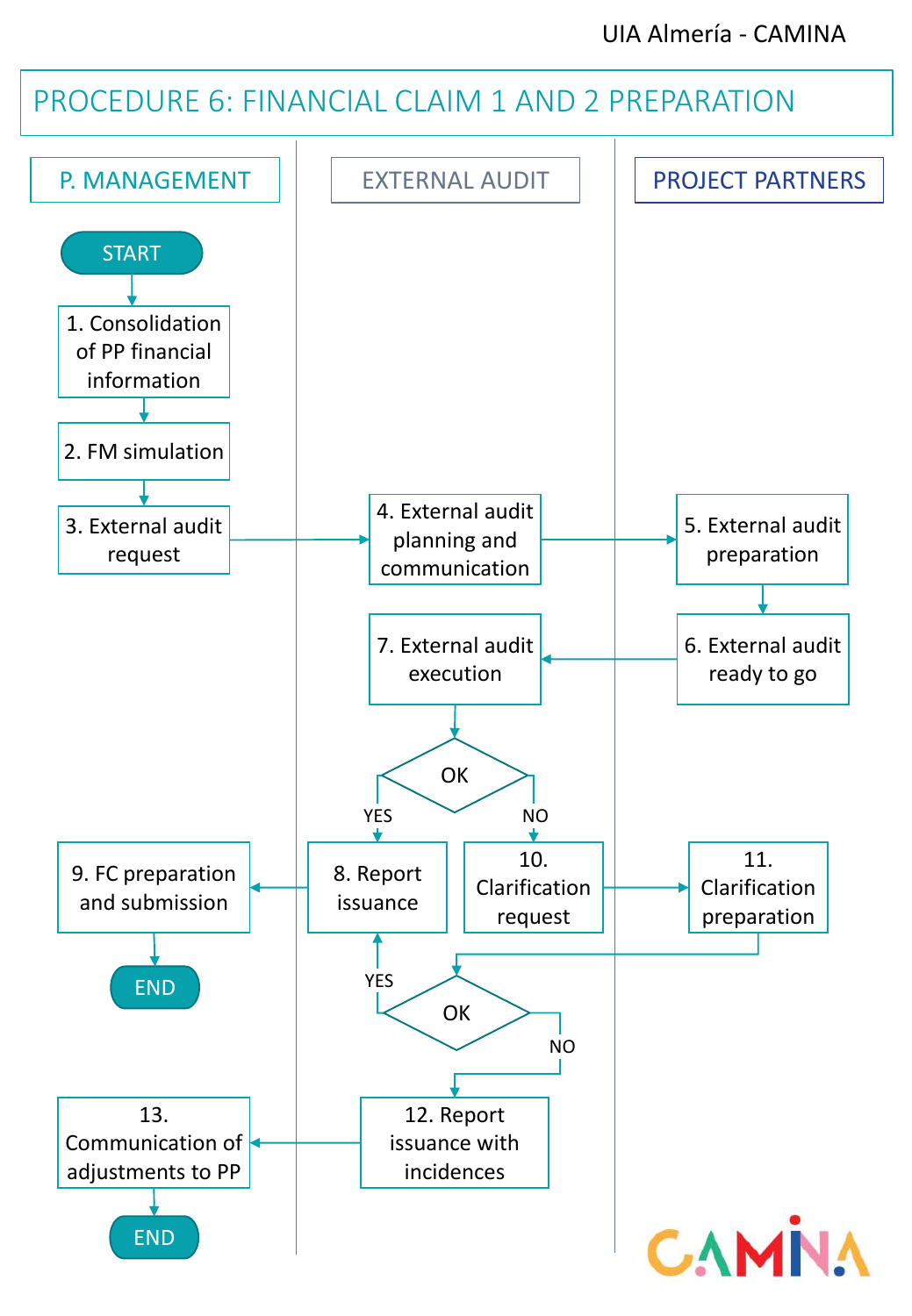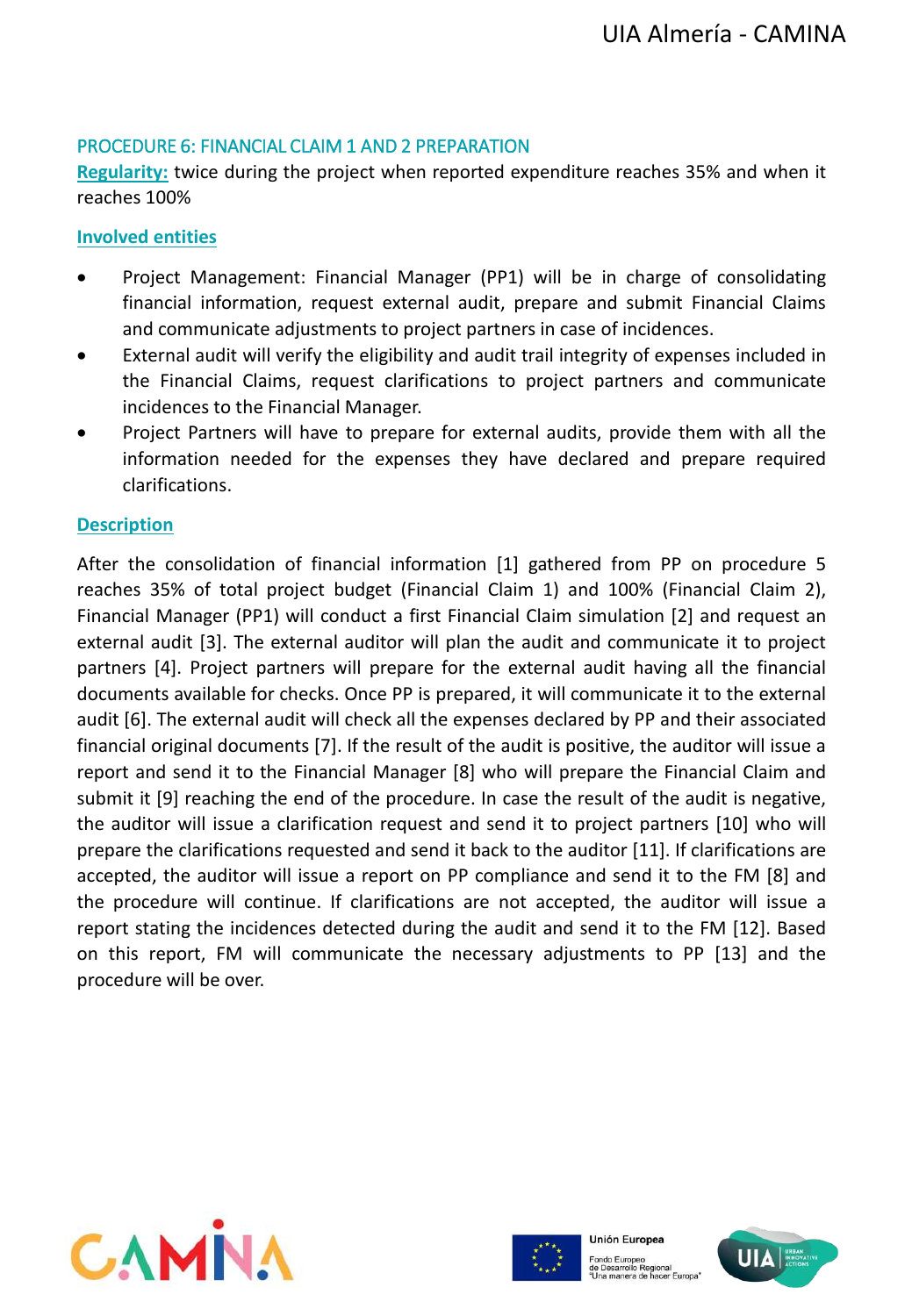#### PROCEDURE 6: FINANCIAL CLAIM 1 AND 2 PREPARATION

**Regularity:** twice during the project when reported expenditure reaches 35% and when it reaches 100%

#### **Involved entities**

- Project Management: Financial Manager (PP1) will be in charge of consolidating financial information, request external audit, prepare and submit Financial Claims and communicate adjustments to project partners in case of incidences.
- External audit will verify the eligibility and audit trail integrity of expenses included in the Financial Claims, request clarifications to project partners and communicate incidences to the Financial Manager.
- Project Partners will have to prepare for external audits, provide them with all the information needed for the expenses they have declared and prepare required clarifications.

#### **Description**

After the consolidation of financial information [1] gathered from PP on procedure 5 reaches 35% of total project budget (Financial Claim 1) and 100% (Financial Claim 2), Financial Manager (PP1) will conduct a first Financial Claim simulation [2] and request an external audit [3]. The external auditor will plan the audit and communicate it to project partners [4]. Project partners will prepare for the external audit having all the financial documents available for checks. Once PP is prepared, it will communicate it to the external audit [6]. The external audit will check all the expenses declared by PP and their associated financial original documents [7]. If the result of the audit is positive, the auditor will issue a report and send it to the Financial Manager [8] who will prepare the Financial Claim and submit it [9] reaching the end of the procedure. In case the result of the audit is negative, the auditor will issue a clarification request and send it to project partners [10] who will prepare the clarifications requested and send it back to the auditor [11]. If clarifications are accepted, the auditor will issue a report on PP compliance and send it to the FM [8] and the procedure will continue. If clarifications are not accepted, the auditor will issue a report stating the incidences detected during the audit and send it to the FM [12]. Based on this report, FM will communicate the necessary adjustments to PP [13] and the procedure will be over.





Fondo Europeo<br>de Desarrollo Regional<br>"Una manera de hacer Europa"

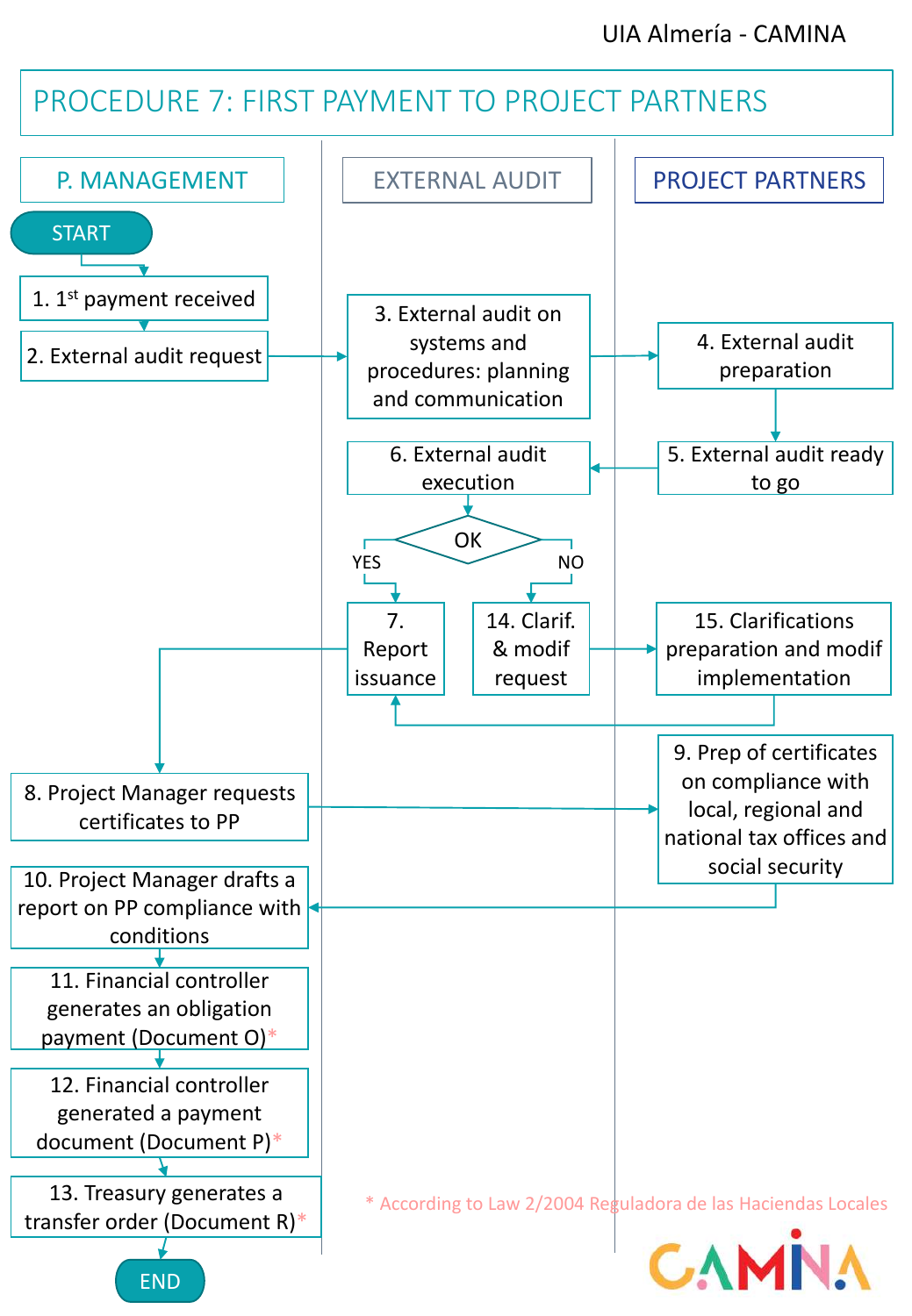# PROCEDURE 7: FIRST PAYMENT TO PROJECT PARTNERS

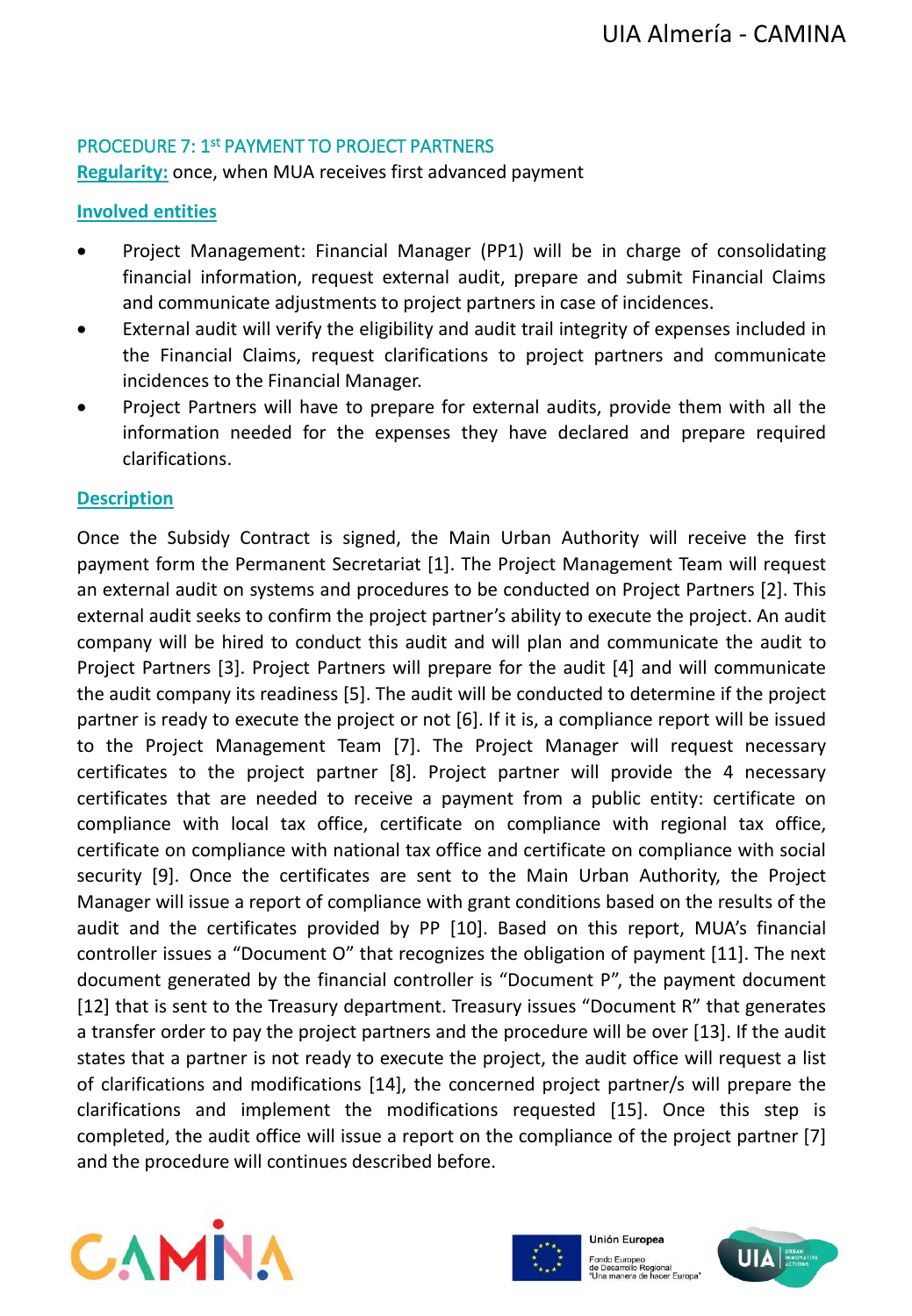#### PROCEDURE 7: 1<sup>st</sup> PAYMENT TO PROJECT PARTNERS

**Regularity:** once, when MUA receives first advanced payment

#### **Involved entities**

- Project Management: Financial Manager (PP1) will be in charge of consolidating financial information, request external audit, prepare and submit Financial Claims and communicate adjustments to project partners in case of incidences.
- External audit will verify the eligibility and audit trail integrity of expenses included in the Financial Claims, request clarifications to project partners and communicate incidences to the Financial Manager.
- Project Partners will have to prepare for external audits, provide them with all the information needed for the expenses they have declared and prepare required clarifications.

#### **Description**

Once the Subsidy Contract is signed, the Main Urban Authority will receive the first payment form the Permanent Secretariat [1]. The Project Management Team will request an external audit on systems and procedures to be conducted on Project Partners [2]. This external audit seeks to confirm the project partner's ability to execute the project. An audit company will be hired to conduct this audit and will plan and communicate the audit to Project Partners [3]. Project Partners will prepare for the audit [4] and will communicate the audit company its readiness [5]. The audit will be conducted to determine if the project partner is ready to execute the project or not [6]. If it is, a compliance report will be issued to the Project Management Team [7]. The Project Manager will request necessary certificates to the project partner [8]. Project partner will provide the 4 necessary certificates that are needed to receive a payment from a public entity: certificate on compliance with local tax office, certificate on compliance with regional tax office, certificate on compliance with national tax office and certificate on compliance with social security [9]. Once the certificates are sent to the Main Urban Authority, the Project Manager will issue a report of compliance with grant conditions based on the results of the audit and the certificates provided by PP [10]. Based on this report, MUA's financial controller issues a "Document O" that recognizes the obligation of payment [11]. The next document generated by the financial controller is "Document P", the payment document [12] that is sent to the Treasury department. Treasury issues "Document R" that generates a transfer order to pay the project partners and the procedure will be over [13]. If the audit states that a partner is not ready to execute the project, the audit office will request a list of clarifications and modifications [14], the concerned project partner/s will prepare the clarifications and implement the modifications requested [15]. Once this step is completed, the audit office will issue a report on the compliance of the project partner [7] and the procedure will continues described before.





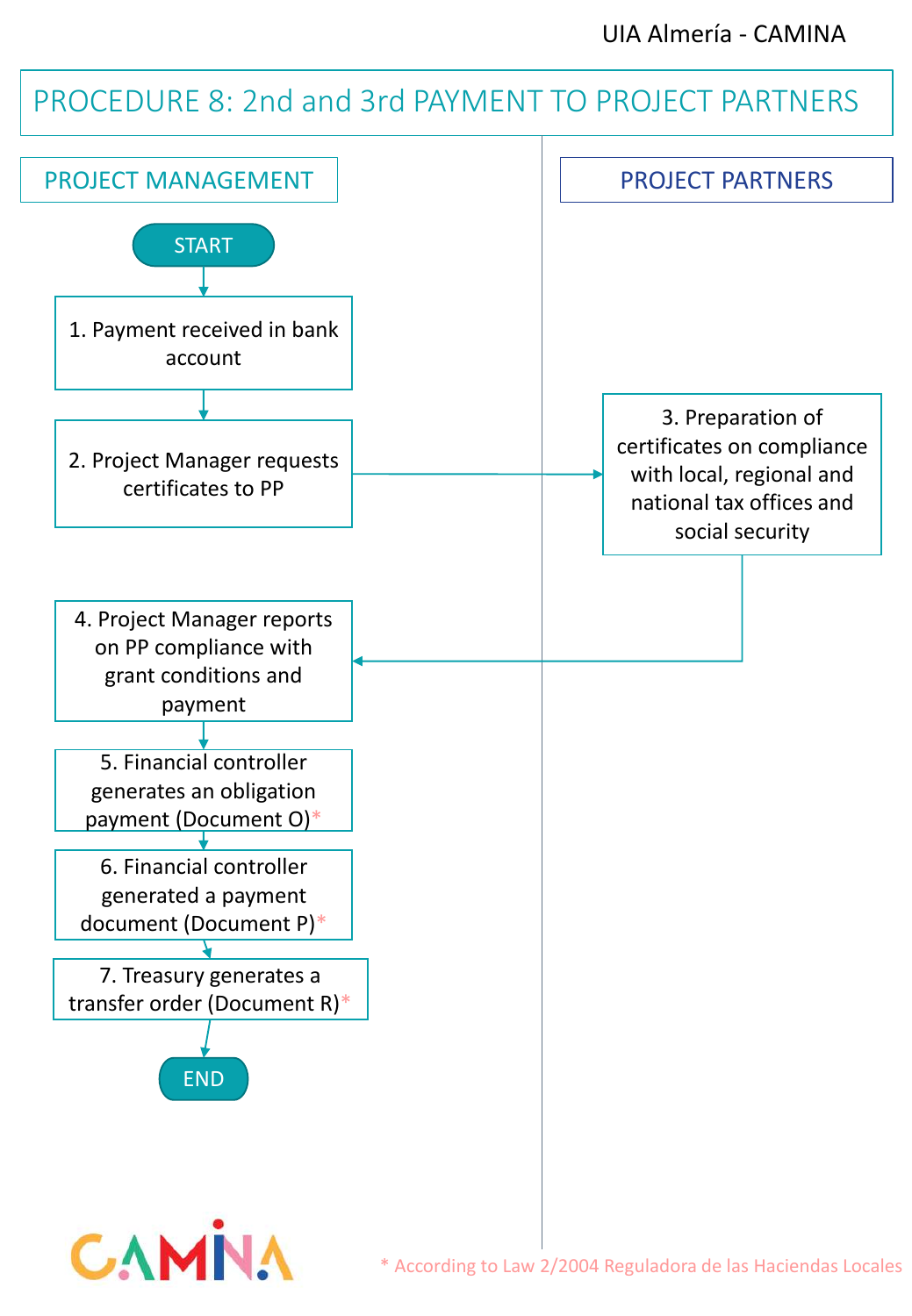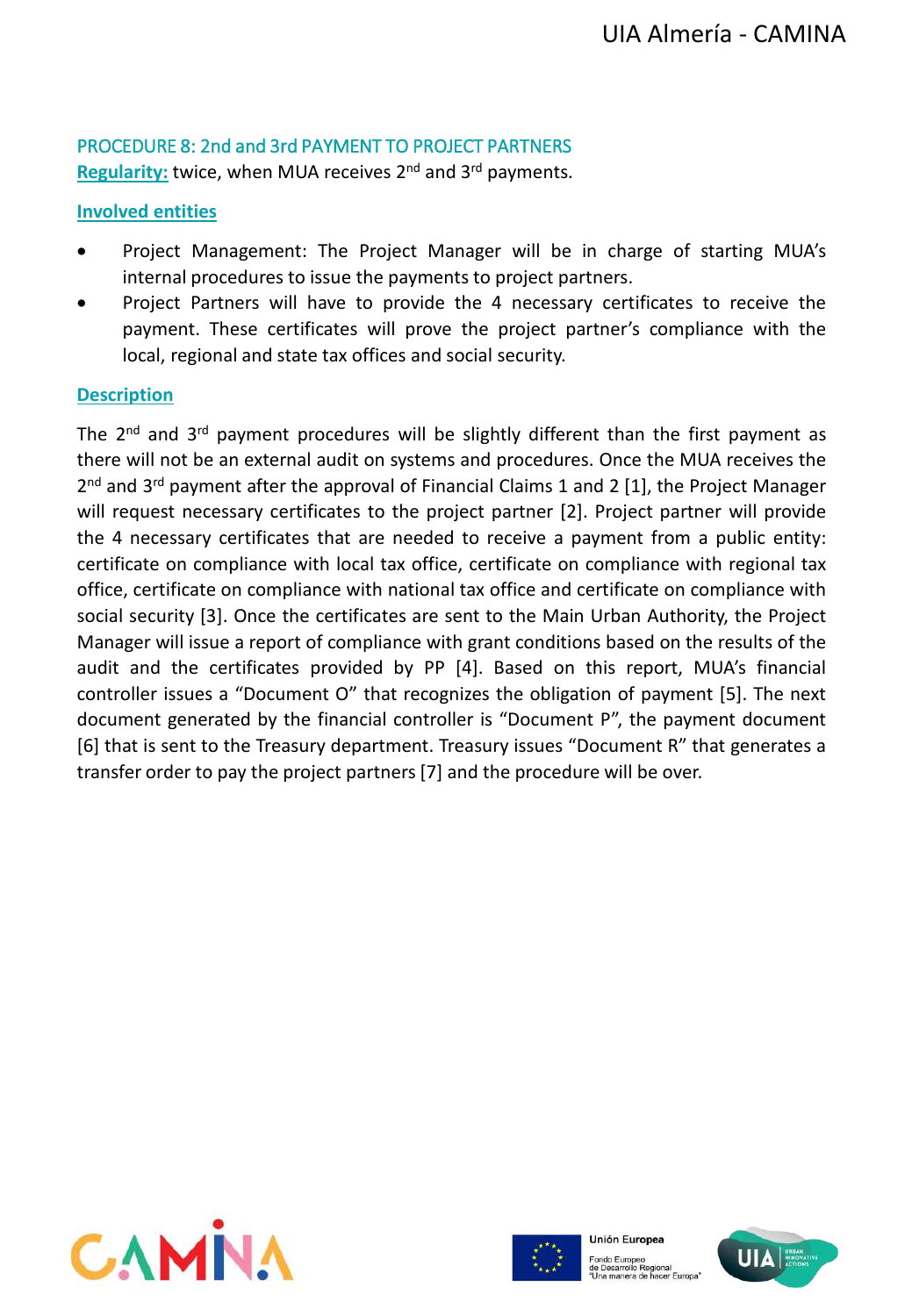# PROCEDURE 8: 2nd and 3rd PAYMENT TO PROJECT PARTNERS

Regularity: twice, when MUA receives 2<sup>nd</sup> and 3<sup>rd</sup> payments.

#### **Involved entities**

- Project Management: The Project Manager will be in charge of starting MUA's internal procedures to issue the payments to project partners.
- Project Partners will have to provide the 4 necessary certificates to receive the payment. These certificates will prove the project partner's compliance with the local, regional and state tax offices and social security.

#### **Description**

The 2<sup>nd</sup> and 3<sup>rd</sup> payment procedures will be slightly different than the first payment as there will not be an external audit on systems and procedures. Once the MUA receives the 2<sup>nd</sup> and 3<sup>rd</sup> payment after the approval of Financial Claims 1 and 2 [1], the Project Manager will request necessary certificates to the project partner [2]. Project partner will provide the 4 necessary certificates that are needed to receive a payment from a public entity: certificate on compliance with local tax office, certificate on compliance with regional tax office, certificate on compliance with national tax office and certificate on compliance with social security [3]. Once the certificates are sent to the Main Urban Authority, the Project Manager will issue a report of compliance with grant conditions based on the results of the audit and the certificates provided by PP [4]. Based on this report, MUA's financial controller issues a "Document O" that recognizes the obligation of payment [5]. The next document generated by the financial controller is "Document P", the payment document [6] that is sent to the Treasury department. Treasury issues "Document R" that generates a transfer order to pay the project partners [7] and the procedure will be over.





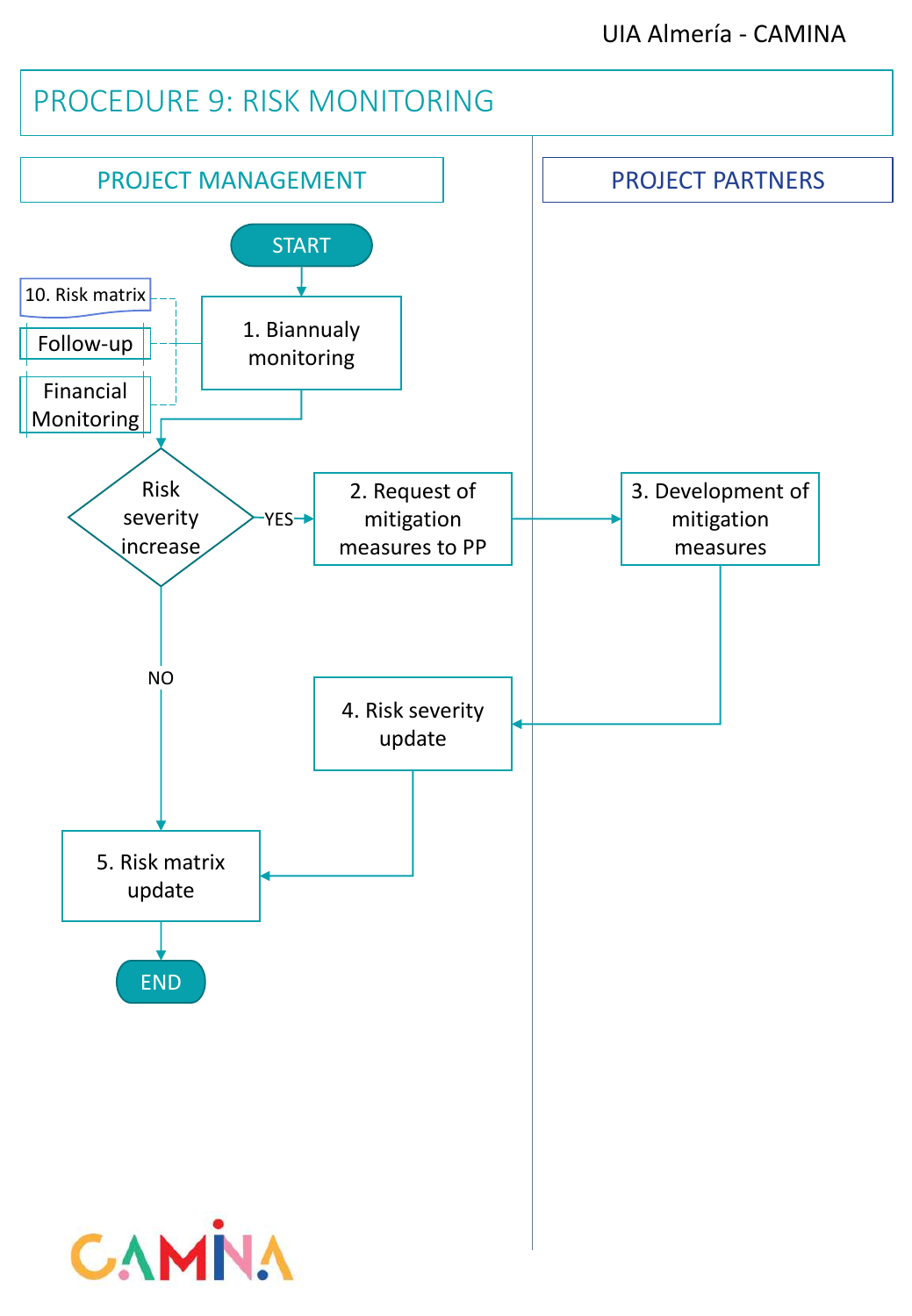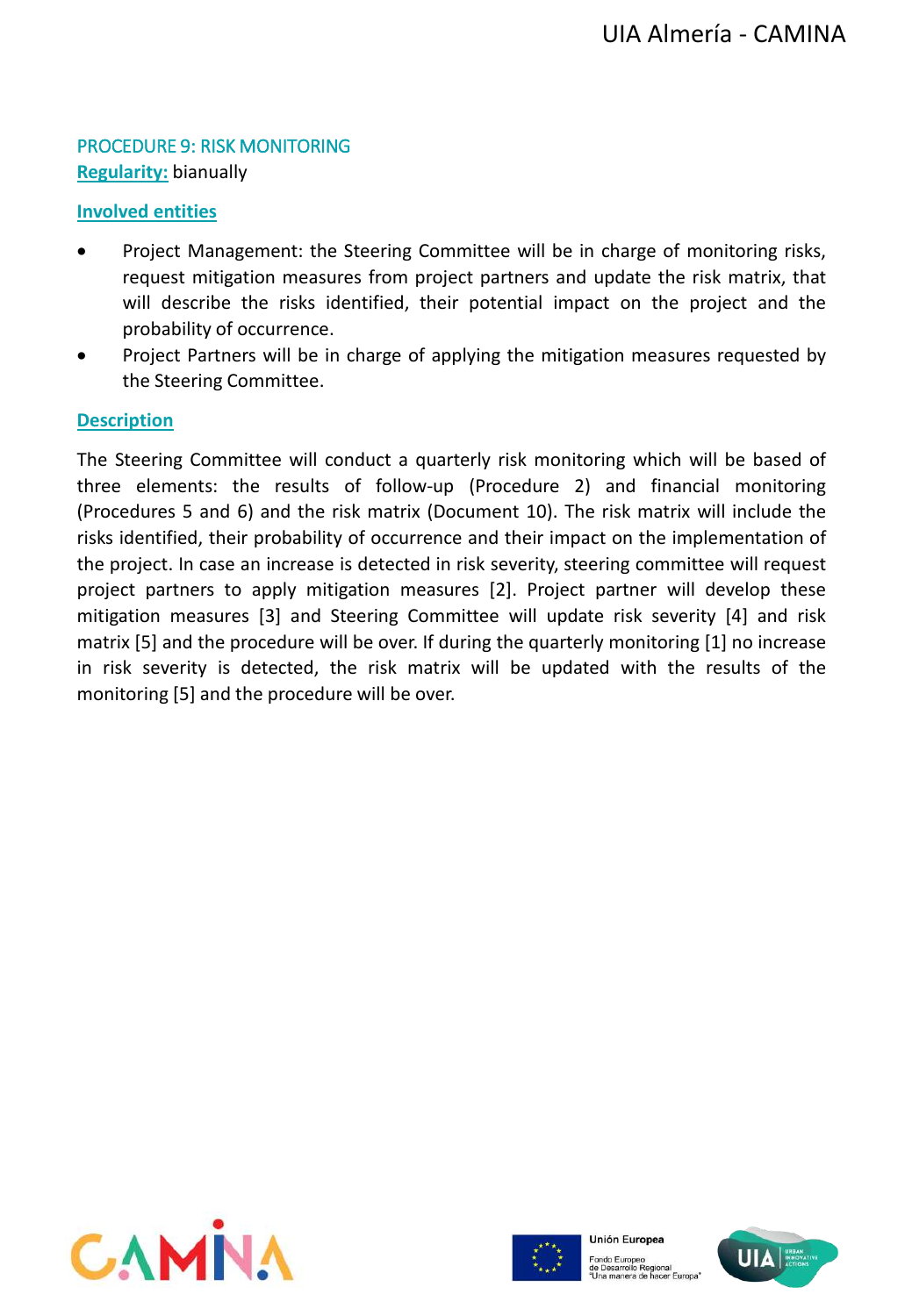## PROCEDURE 9: RISK MONITORING **Regularity:** bianually

#### **Involved entities**

- Project Management: the Steering Committee will be in charge of monitoring risks, request mitigation measures from project partners and update the risk matrix, that will describe the risks identified, their potential impact on the project and the probability of occurrence.
- Project Partners will be in charge of applying the mitigation measures requested by the Steering Committee.

#### **Description**

The Steering Committee will conduct a quarterly risk monitoring which will be based of three elements: the results of follow-up (Procedure 2) and financial monitoring (Procedures 5 and 6) and the risk matrix (Document 10). The risk matrix will include the risks identified, their probability of occurrence and their impact on the implementation of the project. In case an increase is detected in risk severity, steering committee will request project partners to apply mitigation measures [2]. Project partner will develop these mitigation measures [3] and Steering Committee will update risk severity [4] and risk matrix [5] and the procedure will be over. If during the quarterly monitoring [1] no increase in risk severity is detected, the risk matrix will be updated with the results of the monitoring [5] and the procedure will be over.





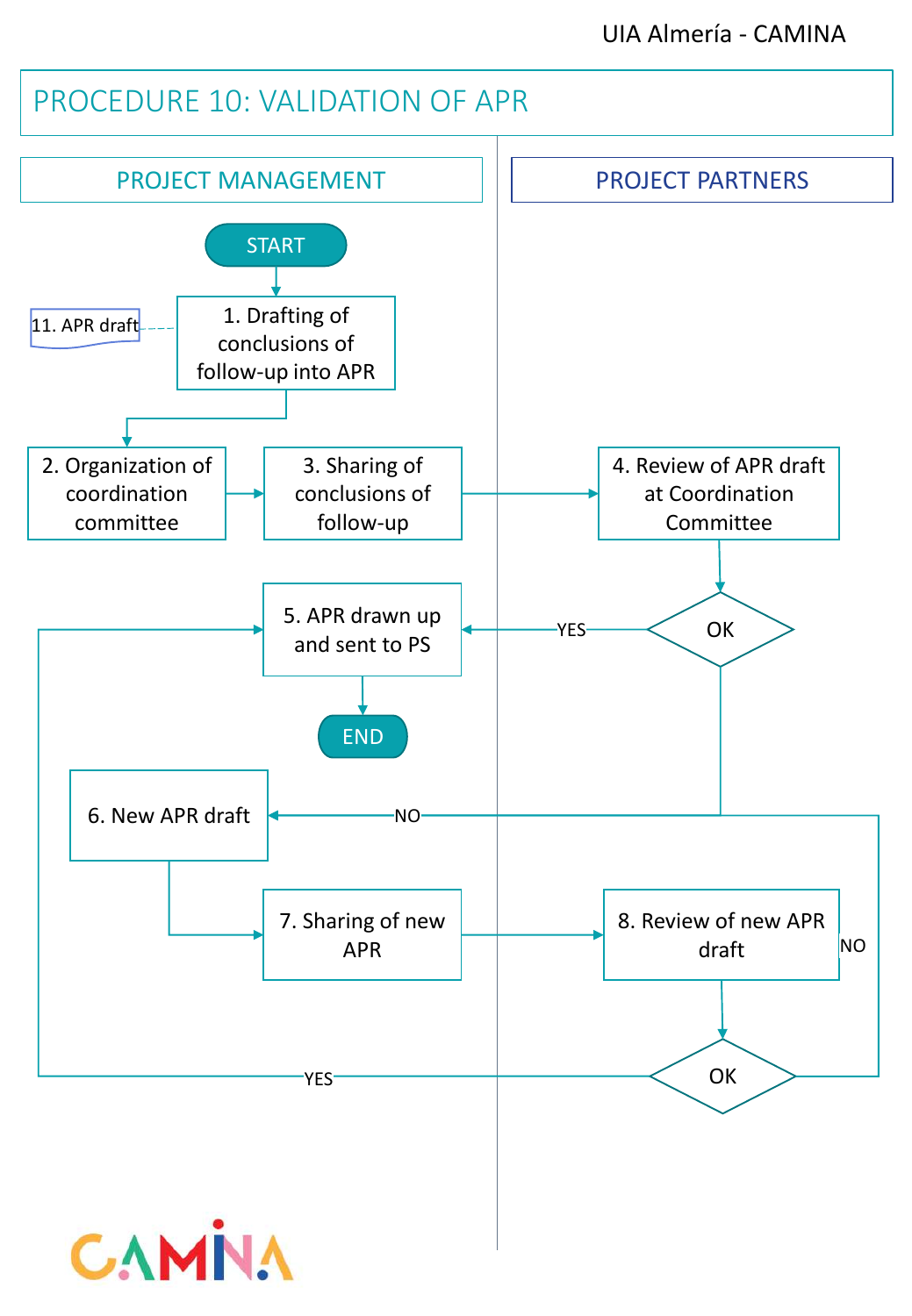# PROCEDURE 10: VALIDATION OF APR PROJECT MANAGEMENT PROJECT PARTNERS START 1. Drafting of conclusions of follow-up into APR 4. Review of APR draft at Coordination Committee 6. New APR draft 11. APR draft 2. Organization of coordination committee 3. Sharing of conclusions of follow-up 5. APR drawn up  $\overline{Y_{\text{ES}}}\sim$  OK and sent to PS END YES 7. Sharing of new APR 8. Review of new APR draft **OK** NO NO YES